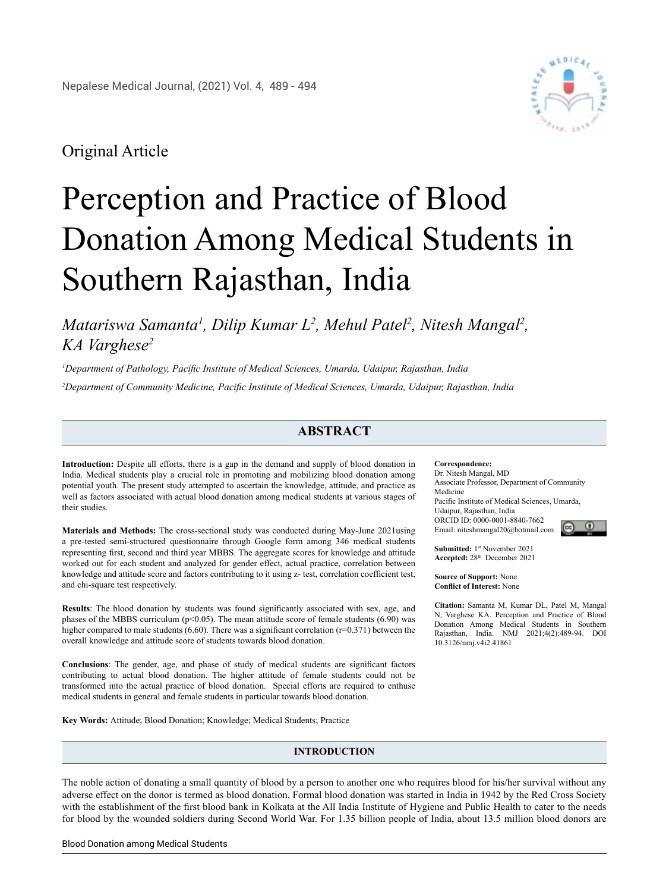

# Original Article

# Perception and Practice of Blood Donation Among Medical Students in Southern Rajasthan, India

*Matariswa Samanta<sup>1</sup>, Dilip Kumar L<sup>2</sup>, Mehul Patel<sup>2</sup>, Nitesh Mangal<sup>2</sup>, KA Varghese2*

*1 Department of Pathology, Pacific Institute of Medical Sciences, Umarda, Udaipur, Rajasthan, India 2 Department of Community Medicine, Pacific Institute of Medical Sciences, Umarda, Udaipur, Rajasthan, India*

# **ABSTRACT**

**Introduction:** Despite all efforts, there is a gap in the demand and supply of blood donation in India. Medical students play a crucial role in promoting and mobilizing blood donation among potential youth. The present study attempted to ascertain the knowledge, attitude, and practice as well as factors associated with actual blood donation among medical students at various stages of their studies.

**Materials and Methods:** The cross-sectional study was conducted during May-June 2021using a pre-tested semi-structured questionnaire through Google form among 346 medical students representing first, second and third year MBBS. The aggregate scores for knowledge and attitude worked out for each student and analyzed for gender effect, actual practice, correlation between knowledge and attitude score and factors contributing to it using z- test, correlation coefficient test, and chi-square test respectively.

**Results**: The blood donation by students was found significantly associated with sex, age, and phases of the MBBS curriculum ( $p<0.05$ ). The mean attitude score of female students (6.90) was higher compared to male students  $(6.60)$ . There was a significant correlation ( $r=0.371$ ) between the overall knowledge and attitude score of students towards blood donation.

**Conclusions**: The gender, age, and phase of study of medical students are significant factors contributing to actual blood donation. The higher attitude of female students could not be transformed into the actual practice of blood donation. Special efforts are required to enthuse medical students in general and female students in particular towards blood donation.

**Key Words:** Attitude; Blood Donation; Knowledge; Medical Students; Practice

## **INTRODUCTION**

The noble action of donating a small quantity of blood by a person to another one who requires blood for his/her survival without any adverse effect on the donor is termed as blood donation. Formal blood donation was started in India in 1942 by the Red Cross Society with the establishment of the first blood bank in Kolkata at the All India Institute of Hygiene and Public Health to cater to the needs for blood by the wounded soldiers during Second World War. For 1.35 billion people of India, about 13.5 million blood donors are

**Correspondence:** 

Dr. Nitesh Mangal, MD Associate Professor, Department of Community Medicine Pacific Institute of Medical Sciences, Umarda, Udaipur, Rajasthan, India ORCID ID: 0000-0001-8840-7662 Email: [niteshmangal20@hotmail.com](mailto:niteshmangal20@hotmail.com)



**Submitted:** 1st November 2021 **Accepted:** 28th December 2021

**Source of Support:** None **Conflict of Interest:** None

**Citation:** Samanta M, Kumar DL, Patel M, Mangal N, Varghese KA. Perception and Practice of Blood Donation Among Medical Students in Southern Rajasthan, India. NMJ 2021;4(2):489-94. DOI 10.3126/nmj.v4i2.41861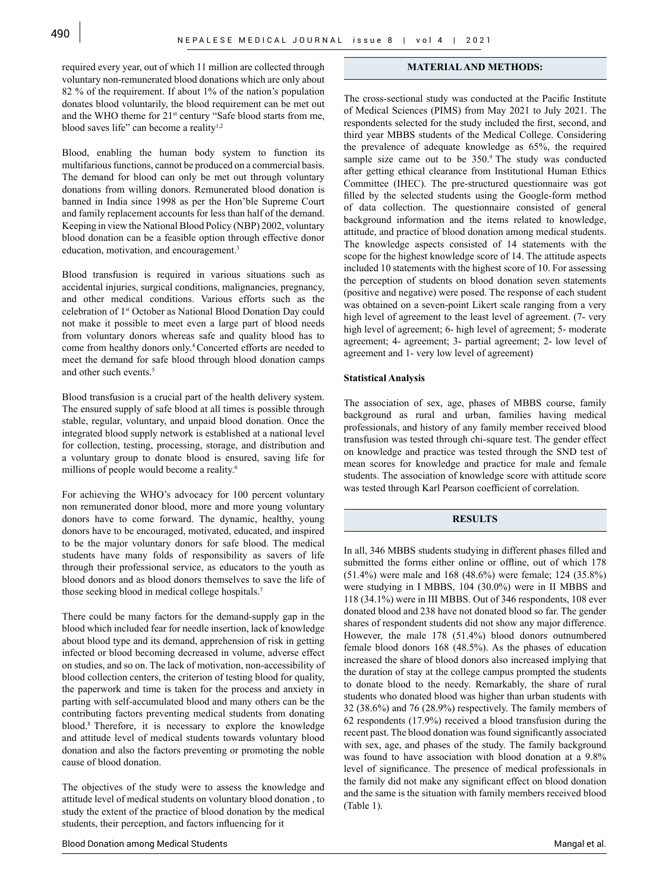required every year, out of which 11 million are collected through voluntary non-remunerated blood donations which are only about 82 % of the requirement. If about 1% of the nation's population donates blood voluntarily, the blood requirement can be met out and the WHO theme for 21<sup>st</sup> century "Safe blood starts from me, blood saves life" can become a reality $1,2$ 

Blood, enabling the human body system to function its multifarious functions, cannot be produced on a commercial basis. The demand for blood can only be met out through voluntary donations from willing donors. Remunerated blood donation is banned in India since 1998 as per the Hon'ble Supreme Court and family replacement accounts for less than half of the demand. Keeping in view the National Blood Policy (NBP) 2002, voluntary blood donation can be a feasible option through effective donor education, motivation, and encouragement.<sup>3</sup>

Blood transfusion is required in various situations such as accidental injuries, surgical conditions, malignancies, pregnancy, and other medical conditions. Various efforts such as the celebration of 1st October as National Blood Donation Day could not make it possible to meet even a large part of blood needs from voluntary donors whereas safe and quality blood has to come from healthy donors only.4 Concerted efforts are needed to meet the demand for safe blood through blood donation camps and other such events.<sup>5</sup>

Blood transfusion is a crucial part of the health delivery system. The ensured supply of safe blood at all times is possible through stable, regular, voluntary, and unpaid blood donation. Once the integrated blood supply network is established at a national level for collection, testing, processing, storage, and distribution and a voluntary group to donate blood is ensured, saving life for millions of people would become a reality.<sup>6</sup>

For achieving the WHO's advocacy for 100 percent voluntary non remunerated donor blood, more and more young voluntary donors have to come forward. The dynamic, healthy, young donors have to be encouraged, motivated, educated, and inspired to be the major voluntary donors for safe blood. The medical students have many folds of responsibility as savers of life through their professional service, as educators to the youth as blood donors and as blood donors themselves to save the life of those seeking blood in medical college hospitals.7

There could be many factors for the demand-supply gap in the blood which included fear for needle insertion, lack of knowledge about blood type and its demand, apprehension of risk in getting infected or blood becoming decreased in volume, adverse effect on studies, and so on. The lack of motivation, non-accessibility of blood collection centers, the criterion of testing blood for quality, the paperwork and time is taken for the process and anxiety in parting with self-accumulated blood and many others can be the contributing factors preventing medical students from donating blood.8 Therefore, it is necessary to explore the knowledge and attitude level of medical students towards voluntary blood donation and also the factors preventing or promoting the noble cause of blood donation.

The objectives of the study were to assess the knowledge and attitude level of medical students on voluntary blood donation , to study the extent of the practice of blood donation by the medical students, their perception, and factors influencing for it

#### **MATERIAL AND METHODS:**

The cross-sectional study was conducted at the Pacific Institute of Medical Sciences (PIMS) from May 2021 to July 2021. The respondents selected for the study included the first, second, and third year MBBS students of the Medical College. Considering the prevalence of adequate knowledge as 65%, the required sample size came out to be 350.9 The study was conducted after getting ethical clearance from Institutional Human Ethics Committee (IHEC). The pre-structured questionnaire was got filled by the selected students using the Google-form method of data collection. The questionnaire consisted of general background information and the items related to knowledge, attitude, and practice of blood donation among medical students. The knowledge aspects consisted of 14 statements with the scope for the highest knowledge score of 14. The attitude aspects included 10 statements with the highest score of 10. For assessing the perception of students on blood donation seven statements (positive and negative) were posed. The response of each student was obtained on a seven-point Likert scale ranging from a very high level of agreement to the least level of agreement. (7- very high level of agreement; 6- high level of agreement; 5- moderate agreement; 4- agreement; 3- partial agreement; 2- low level of agreement and 1- very low level of agreement)

#### **Statistical Analysis**

The association of sex, age, phases of MBBS course, family background as rural and urban, families having medical professionals, and history of any family member received blood transfusion was tested through chi-square test. The gender effect on knowledge and practice was tested through the SND test of mean scores for knowledge and practice for male and female students. The association of knowledge score with attitude score was tested through Karl Pearson coefficient of correlation.

#### **RESULTS**

In all, 346 MBBS students studying in different phases filled and submitted the forms either online or offline, out of which 178 (51.4%) were male and 168 (48.6%) were female; 124 (35.8%) were studying in I MBBS, 104 (30.0%) were in II MBBS and 118 (34.1%) were in III MBBS. Out of 346 respondents, 108 ever donated blood and 238 have not donated blood so far. The gender shares of respondent students did not show any major difference. However, the male 178 (51.4%) blood donors outnumbered female blood donors 168 (48.5%). As the phases of education increased the share of blood donors also increased implying that the duration of stay at the college campus prompted the students to donate blood to the needy. Remarkably, the share of rural students who donated blood was higher than urban students with 32 (38.6%) and 76 (28.9%) respectively. The family members of 62 respondents (17.9%) received a blood transfusion during the recent past. The blood donation was found significantly associated with sex, age, and phases of the study. The family background was found to have association with blood donation at a 9.8% level of significance. The presence of medical professionals in the family did not make any significant effect on blood donation and the same is the situation with family members received blood (Table 1).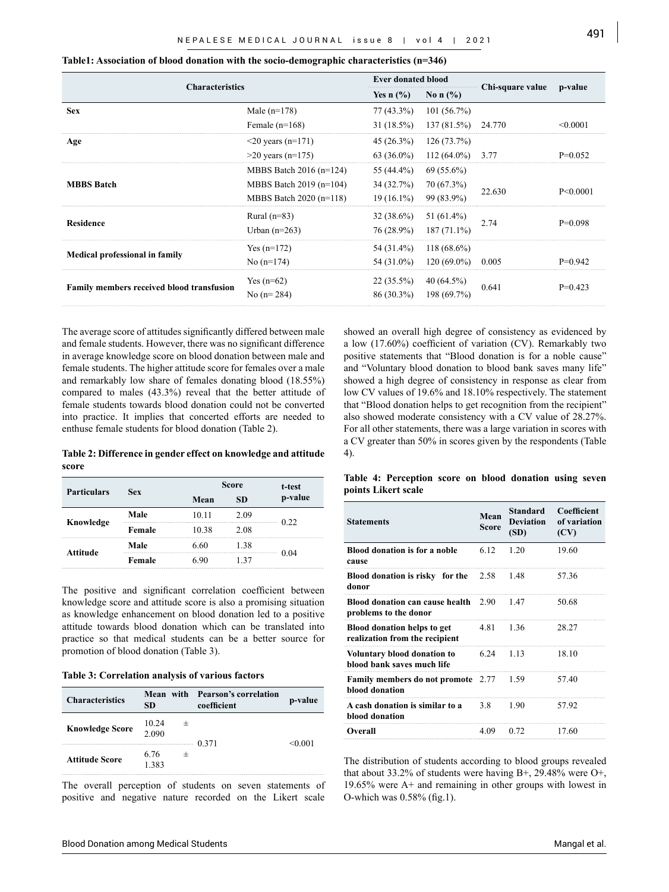| <b>Characteristics</b>                    |                           |               | <b>Ever donated blood</b> | Chi-square value | p-value    |
|-------------------------------------------|---------------------------|---------------|---------------------------|------------------|------------|
|                                           |                           | Yes n $(\% )$ | No n $(\% )$              |                  |            |
| <b>Sex</b>                                | Male $(n=178)$            | $77(43.3\%)$  | 101(56.7%)                |                  |            |
|                                           | Female $(n=168)$          | $31(18.5\%)$  | 137(81.5%)                | 24.770           | < 0.0001   |
| Age                                       | $\leq$ 20 years (n=171)   | $45(26.3\%)$  | 126(73.7%)                |                  |            |
|                                           | $>20$ years (n=175)       | $63(36.0\%)$  | $112(64.0\%)$             | 3.77             | $P=0.052$  |
|                                           | MBBS Batch $2016$ (n=124) | 55 (44.4%)    | $69(55.6\%)$              |                  |            |
| <b>MBBS Batch</b>                         | MBBS Batch $2019$ (n=104) | 34 (32.7%)    | 70 (67.3%)                | 22.630           | P < 0.0001 |
|                                           | MBBS Batch 2020 (n=118)   | $19(16.1\%)$  | 99 (83.9%)                |                  |            |
|                                           | Rural $(n=83)$            | $32(38.6\%)$  | 51 $(61.4\%)$             |                  | $P=0.098$  |
| <b>Residence</b>                          | Urban $(n=263)$           | 76 (28.9%)    | $187(71.1\%)$             | 2.74             |            |
| <b>Medical professional in family</b>     | Yes $(n=172)$             | 54 (31.4%)    | $118(68.6\%)$             |                  |            |
|                                           | No $(n=174)$              | 54 (31.0%)    | $120(69.0\%)$             | 0.005            | $P=0.942$  |
|                                           | Yes $(n=62)$              | $22(35.5\%)$  | $40(64.5\%)$              |                  |            |
| Family members received blood transfusion | No $(n=284)$              | 86 (30.3%)    | 198 (69.7%)               | 0.641            | $P=0.423$  |
|                                           |                           |               |                           |                  |            |

**Table1: Association of blood donation with the socio-demographic characteristics (n=346)**

The average score of attitudes significantly differed between male and female students. However, there was no significant difference in average knowledge score on blood donation between male and female students. The higher attitude score for females over a male and remarkably low share of females donating blood (18.55%) compared to males (43.3%) reveal that the better attitude of female students towards blood donation could not be converted into practice. It implies that concerted efforts are needed to enthuse female students for blood donation (Table 2).

**Table 2: Difference in gender effect on knowledge and attitude score**

| <b>Particulars</b> | <b>Sex</b> | <b>Score</b> | t-test |         |
|--------------------|------------|--------------|--------|---------|
|                    |            | Mean         | SD     | p-value |
| Knowledge          | Male       | 10.11        | 2.09   | 0.22    |
|                    | Female     | 10.38        | 2.08   |         |
| Attitude           | Male       | 6.60         | 1.38   |         |
|                    | Female     | 6 QN         | 1 37   | 0.04    |

The positive and significant correlation coefficient between knowledge score and attitude score is also a promising situation as knowledge enhancement on blood donation led to a positive attitude towards blood donation which can be translated into practice so that medical students can be a better source for promotion of blood donation (Table 3).

|  | Table 3: Correlation analysis of various factors |  |  |
|--|--------------------------------------------------|--|--|
|  |                                                  |  |  |

| <b>Characteristics</b> | SD             | <b>Mean with Pearson's correlation</b><br>coefficient | p-value |
|------------------------|----------------|-------------------------------------------------------|---------|
| <b>Knowledge Score</b> | 10.24<br>2.090 | 0.371                                                 | < 0.001 |
| <b>Attitude Score</b>  | 6.76<br>1383   |                                                       |         |

The overall perception of students on seven statements of positive and negative nature recorded on the Likert scale

showed an overall high degree of consistency as evidenced by a low (17.60%) coefficient of variation (CV). Remarkably two positive statements that "Blood donation is for a noble cause" and "Voluntary blood donation to blood bank saves many life" showed a high degree of consistency in response as clear from low CV values of 19.6% and 18.10% respectively. The statement that "Blood donation helps to get recognition from the recipient" also showed moderate consistency with a CV value of 28.27%. For all other statements, there was a large variation in scores with a CV greater than 50% in scores given by the respondents (Table 4).

|  | Table 4: Perception score on blood donation using seven |  |  |  |
|--|---------------------------------------------------------|--|--|--|
|  | points Likert scale                                     |  |  |  |

| <b>Statements</b>                                                              | Mean<br><b>Score</b> | <b>Standard</b><br><b>Deviation</b><br>(SD) | Coefficient<br>of variation<br>(CV) |
|--------------------------------------------------------------------------------|----------------------|---------------------------------------------|-------------------------------------|
| <b>Blood donation is for a noble</b><br>cause                                  | 6.12                 | 1.20                                        | 19.60                               |
| Blood donation is risky for the 2.58<br>donor                                  |                      | 1.48                                        | 57.36                               |
| <b>Blood donation can cause health</b> $2.90 \t 1.47$<br>problems to the donor |                      |                                             | 50.68                               |
| <b>Blood donation helps to get</b><br>realization from the recipient           | 481                  | 136                                         | 28.27                               |
| Voluntary blood donation to<br>blood bank saves much life                      | 6.24                 | 1 1 3                                       | 18 10                               |
| Family members do not promote 2.77<br>blood donation                           |                      | 1.59                                        | 57.40                               |
| A cash donation is similar to a<br>blood donation                              | 38                   | 190                                         | 57.92                               |
| Overall                                                                        | 4.09                 | 0.72                                        | 17.60                               |

The distribution of students according to blood groups revealed that about 33.2% of students were having B+, 29.48% were O+, 19.65% were A+ and remaining in other groups with lowest in O-which was 0.58% (fig.1).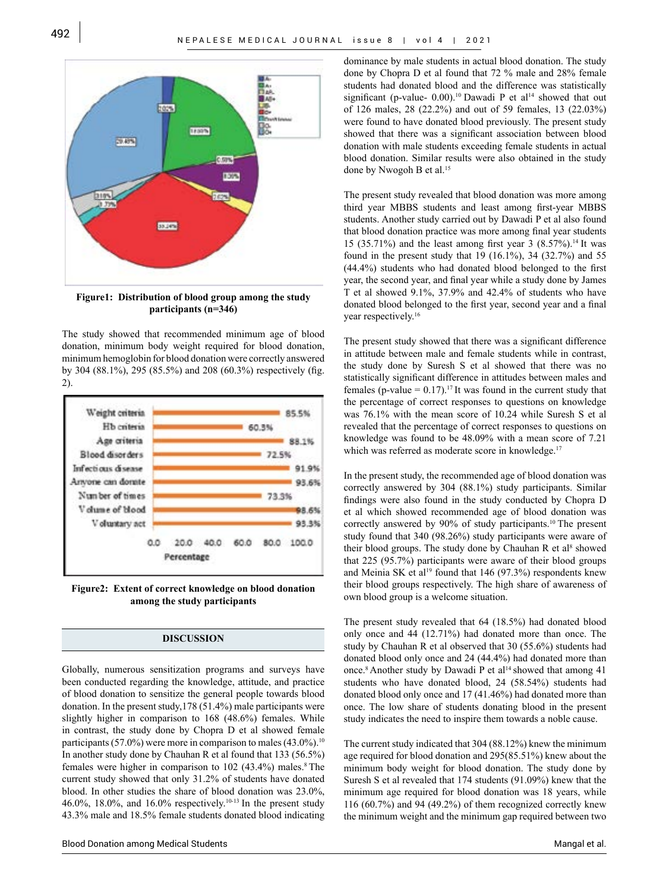

**Figure1: Distribution of blood group among the study participants (n=346)**

The study showed that recommended minimum age of blood donation, minimum body weight required for blood donation, minimum hemoglobin for blood donation were correctly answered by 304 (88.1%), 295 (85.5%) and 208 (60.3%) respectively (fig. 2).



**Figure2: Extent of correct knowledge on blood donation among the study participants**

# **DISCUSSION**

Globally, numerous sensitization programs and surveys have been conducted regarding the knowledge, attitude, and practice of blood donation to sensitize the general people towards blood donation. In the present study,178 (51.4%) male participants were slightly higher in comparison to 168 (48.6%) females. While in contrast, the study done by Chopra D et al showed female participants (57.0%) were more in comparison to males  $(43.0\%)$ <sup>10</sup> In another study done by Chauhan R et al found that 133 (56.5%) females were higher in comparison to  $102$  (43.4%) males.<sup>8</sup> The current study showed that only 31.2% of students have donated blood. In other studies the share of blood donation was 23.0%, 46.0%, 18.0%, and 16.0% respectively.10-13 In the present study 43.3% male and 18.5% female students donated blood indicating dominance by male students in actual blood donation. The study done by Chopra D et al found that 72 % male and 28% female students had donated blood and the difference was statistically significant (p-value-  $0.00$ ).<sup>10</sup> Dawadi P et al<sup>14</sup> showed that out of 126 males, 28 (22.2%) and out of 59 females, 13 (22.03%) were found to have donated blood previously. The present study showed that there was a significant association between blood donation with male students exceeding female students in actual blood donation. Similar results were also obtained in the study done by Nwogoh B et al.<sup>15</sup>

The present study revealed that blood donation was more among third year MBBS students and least among first-year MBBS students. Another study carried out by Dawadi P et al also found that blood donation practice was more among final year students 15 (35.71%) and the least among first year 3 (8.57%).<sup>14</sup> It was found in the present study that 19 (16.1%), 34 (32.7%) and 55 (44.4%) students who had donated blood belonged to the first year, the second year, and final year while a study done by James T et al showed 9.1%, 37.9% and 42.4% of students who have donated blood belonged to the first year, second year and a final year respectively.<sup>16</sup>

The present study showed that there was a significant difference in attitude between male and female students while in contrast, the study done by Suresh S et al showed that there was no statistically significant difference in attitudes between males and females (p-value =  $0.17$ ).<sup>17</sup> It was found in the current study that the percentage of correct responses to questions on knowledge was 76.1% with the mean score of 10.24 while Suresh S et al revealed that the percentage of correct responses to questions on knowledge was found to be 48.09% with a mean score of 7.21 which was referred as moderate score in knowledge.<sup>17</sup>

In the present study, the recommended age of blood donation was correctly answered by 304 (88.1%) study participants. Similar findings were also found in the study conducted by Chopra D et al which showed recommended age of blood donation was correctly answered by 90% of study participants.<sup>10</sup> The present study found that 340 (98.26%) study participants were aware of their blood groups. The study done by Chauhan R et al<sup>8</sup> showed that 225 (95.7%) participants were aware of their blood groups and Meinia SK et al<sup>19</sup> found that 146 (97.3%) respondents knew their blood groups respectively. The high share of awareness of own blood group is a welcome situation.

The present study revealed that 64 (18.5%) had donated blood only once and 44 (12.71%) had donated more than once. The study by Chauhan R et al observed that 30 (55.6%) students had donated blood only once and 24 (44.4%) had donated more than once.<sup>8</sup> Another study by Dawadi P et al<sup>14</sup> showed that among 41 students who have donated blood, 24 (58.54%) students had donated blood only once and 17 (41.46%) had donated more than once. The low share of students donating blood in the present study indicates the need to inspire them towards a noble cause.

The current study indicated that 304 (88.12%) knew the minimum age required for blood donation and 295(85.51%) knew about the minimum body weight for blood donation. The study done by Suresh S et al revealed that 174 students (91.09%) knew that the minimum age required for blood donation was 18 years, while 116 (60.7%) and 94 (49.2%) of them recognized correctly knew the minimum weight and the minimum gap required between two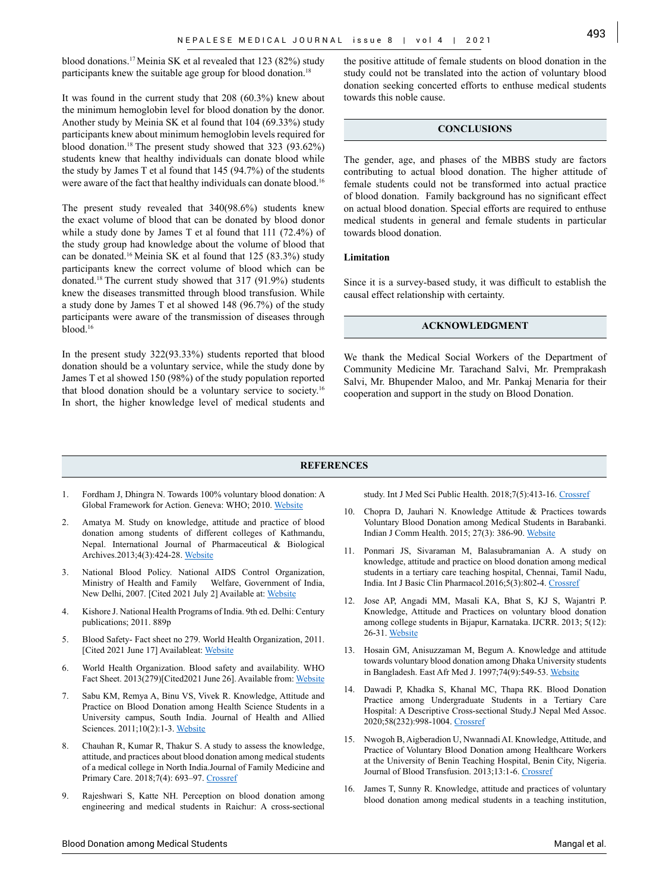blood donations.17 Meinia SK et al revealed that 123 (82%) study participants knew the suitable age group for blood donation.<sup>18</sup>

It was found in the current study that 208 (60.3%) knew about the minimum hemoglobin level for blood donation by the donor. Another study by Meinia SK et al found that 104 (69.33%) study participants knew about minimum hemoglobin levels required for blood donation.18 The present study showed that 323 (93.62%) students knew that healthy individuals can donate blood while the study by James T et al found that 145 (94.7%) of the students were aware of the fact that healthy individuals can donate blood.<sup>16</sup>

The present study revealed that 340(98.6%) students knew the exact volume of blood that can be donated by blood donor while a study done by James T et al found that 111 (72.4%) of the study group had knowledge about the volume of blood that can be donated.16 Meinia SK et al found that 125 (83.3%) study participants knew the correct volume of blood which can be donated.18 The current study showed that 317 (91.9%) students knew the diseases transmitted through blood transfusion. While a study done by James T et al showed 148 (96.7%) of the study participants were aware of the transmission of diseases through blood.16

In the present study 322(93.33%) students reported that blood donation should be a voluntary service, while the study done by James T et al showed 150 (98%) of the study population reported that blood donation should be a voluntary service to society.16 In short, the higher knowledge level of medical students and

the positive attitude of female students on blood donation in the study could not be translated into the action of voluntary blood donation seeking concerted efforts to enthuse medical students towards this noble cause.

## **CONCLUSIONS**

The gender, age, and phases of the MBBS study are factors contributing to actual blood donation. The higher attitude of female students could not be transformed into actual practice of blood donation. Family background has no significant effect on actual blood donation. Special efforts are required to enthuse medical students in general and female students in particular towards blood donation.

#### **Limitation**

Since it is a survey-based study, it was difficult to establish the causal effect relationship with certainty.

#### **ACKNOWLEDGMENT**

We thank the Medical Social Workers of the Department of Community Medicine Mr. Tarachand Salvi, Mr. Premprakash Salvi, Mr. Bhupender Maloo, and Mr. Pankaj Menaria for their cooperation and support in the study on Blood Donation.

#### **REFERENCES**

- 1. Fordham J, Dhingra N. Towards 100% voluntary blood donation: A Global Framework for Action. Geneva: WHO; 2010. [Website](https://apps.who.int/iris/handle/10665/44359)
- 2. Amatya M. Study on knowledge, attitude and practice of blood donation among students of different colleges of Kathmandu, Nepal. International Journal of Pharmaceutical & Biological Archives.2013;4(3):424-28. [Website](https://www.ijpba.info/ijpba/index.php/ijpba/article/view/1003)
- 3. National Blood Policy. National AIDS Control Organization, Ministry of Health and Family Welfare, Government of India, New Delhi, 2007. [Cited 2021 July 2] Available at: [Website](http://www.naco.gov.in/sites/default/files/National%20Blood%20Policy_0.pdf)
- 4. Kishore J. National Health Programs of India. 9th ed. Delhi: Century publications; 2011. 889p
- 5. Blood Safety- Fact sheet no 279. World Health Organization, 2011. [Cited 2021 June 17] Availableat: [Website](https://www.who.int/worldblooddonorday/media/who_blood_safety_factsheet_2011.pdf)
- 6. World Health Organization. Blood safety and availability. WHO Fact Sheet. 2013(279)[Cited2021 June 26]. Available from: [Website](https://www.who.int/news-room/fact-sheets/detail/blood-safety-and-availability)
- 7. Sabu KM, Remya A, Binu VS, Vivek R. Knowledge, Attitude and Practice on Blood Donation among Health Science Students in a University campus, South India. Journal of Health and Allied Sciences. 2011;10(2):1-3. [Website](https://www.ojhas.org/issue38/2011-2-6.htm)
- 8. Chauhan R, Kumar R, Thakur S. A study to assess the knowledge, attitude, and practices about blood donation among medical students of a medical college in North India.Journal of Family Medicine and Primary Care. 2018;7(4): 693-97. [Crossref](https://doi.org/10.4103/jfmpc.jfmpc_54_17)
- 9. Rajeshwari S, Katte NH. Perception on blood donation among engineering and medical students in Raichur: A cross-sectional

study. Int J Med Sci Public Health. 2018;7(5):413-16. [Crossref](DOI: http://dx.doi.org/10.5455/ijmsph.2018.1234505032018)

- 10. Chopra D, Jauhari N. Knowledge Attitude & Practices towards Voluntary Blood Donation among Medical Students in Barabanki. Indian J Comm Health. 2015; 27(3): 386-90. [Website](https://www.iapsmupuk.org/journal/index.php/IJCH/article/view/590)
- 11. Ponmari JS, Sivaraman M, Balasubramanian A. A study on knowledge, attitude and practice on blood donation among medical students in a tertiary care teaching hospital, Chennai, Tamil Nadu, India. Int J Basic Clin Pharmacol.2016;5(3):802-4. [Crossref](http://dx.doi.org/10.18203/2319-2003.ijbcp20161523)
- 12. Jose AP, Angadi MM, Masali KA, Bhat S, KJ S, Wajantri P. Knowledge, Attitude and Practices on voluntary blood donation among college students in Bijapur, Karnataka. IJCRR. 2013; 5(12): 26-31. [Website](https://www.ijcrr.com/uploads/1279_pdf.pdf)
- 13. Hosain GM, Anisuzzaman M, Begum A. Knowledge and attitude towards voluntary blood donation among Dhaka University students in Bangladesh. East Afr Med J. 1997;74(9):549-53. [Website](https://pubmed.ncbi.nlm.nih.gov/9487428/)
- 14. Dawadi P, Khadka S, Khanal MC, Thapa RK. Blood Donation Practice among Undergraduate Students in a Tertiary Care Hospital: A Descriptive Cross-sectional Study.J Nepal Med Assoc. 2020;58(232):998-1004. [Crossref](https://doi.org/10.31729/jnma.5205)
- 15. Nwogoh B, Aigberadion U, Nwannadi AI. Knowledge, Attitude, and Practice of Voluntary Blood Donation among Healthcare Workers at the University of Benin Teaching Hospital, Benin City, Nigeria. Journal of Blood Transfusion. 2013;13:1-6. [Crossref](https://doi.org/10.1155/2013/797830)
- 16. James T, Sunny R. Knowledge, attitude and practices of voluntary blood donation among medical students in a teaching institution,